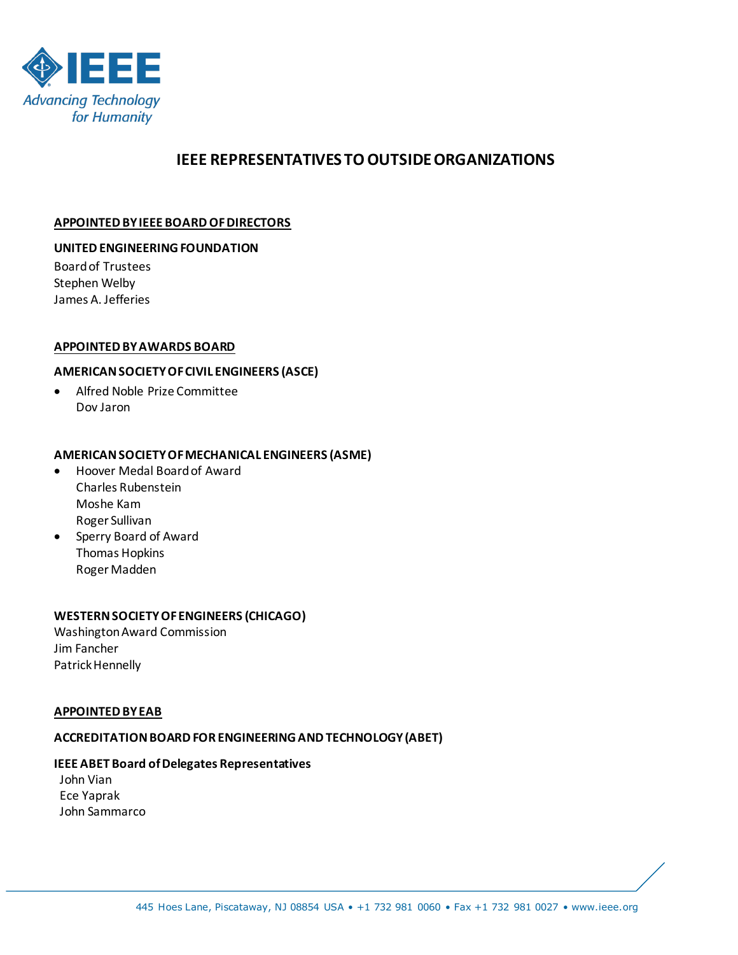

# **IEEE REPRESENTATIVES TO OUTSIDE ORGANIZATIONS**

#### **APPOINTED BY IEEE BOARD OF DIRECTORS**

#### **UNITED ENGINEERING FOUNDATION**

Board of Trustees Stephen Welby James A. Jefferies

#### **APPOINTED BY AWARDS BOARD**

### **AMERICAN SOCIETY OF CIVIL ENGINEERS (ASCE)**

• Alfred Noble Prize Committee Dov Jaron

#### **AMERICAN SOCIETY OF MECHANICAL ENGINEERS (ASME)**

- Hoover Medal Board of Award Charles Rubenstein Moshe Kam Roger Sullivan
- Sperry Board of Award Thomas Hopkins Roger Madden

#### **WESTERN SOCIETY OF ENGINEERS (CHICAGO)**

Washington Award Commission Jim Fancher Patrick Hennelly

#### **APPOINTED BY EAB**

#### **ACCREDITATION BOARD FOR ENGINEERING AND TECHNOLOGY (ABET)**

#### **IEEE ABET Board of Delegates Representatives**

 John Vian Ece Yaprak John Sammarco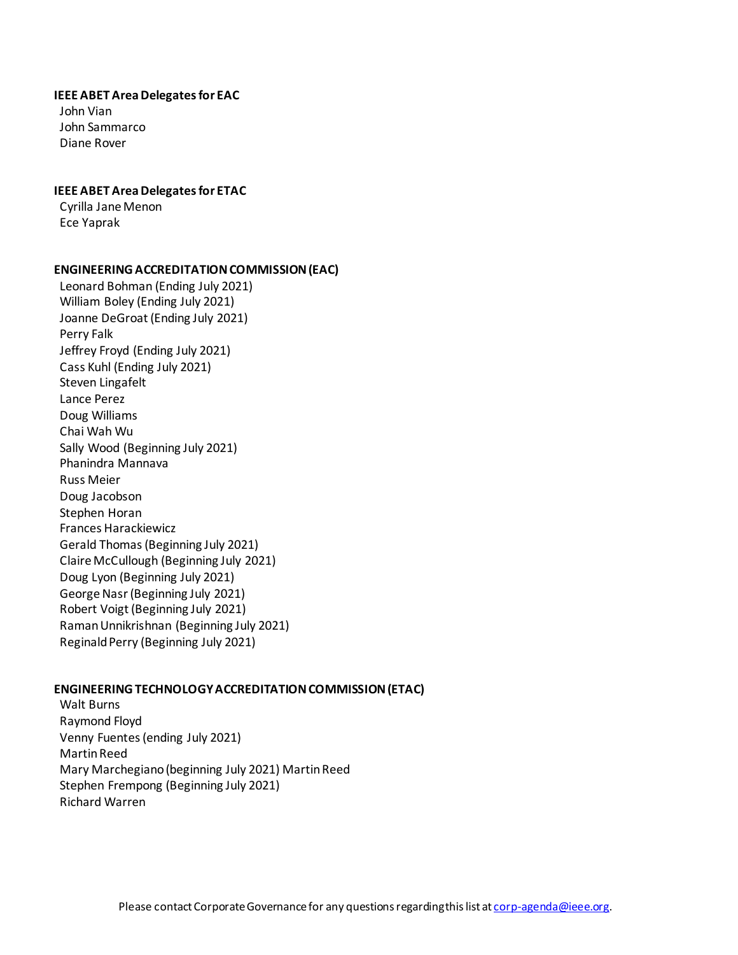#### **IEEE ABET Area Delegates for EAC**

 John Vian John Sammarco Diane Rover

#### **IEEE ABET Area Delegates for ETAC**

 Cyrilla Jane Menon Ece Yaprak

#### **ENGINEERING ACCREDITATION COMMISSION (EAC)**

 Leonard Bohman (Ending July 2021) William Boley (Ending July 2021) Joanne DeGroat (Ending July 2021) Perry Falk Jeffrey Froyd (Ending July 2021) Cass Kuhl (Ending July 2021) Steven Lingafelt Lance Perez Doug Williams Chai Wah Wu Sally Wood (Beginning July 2021) Phanindra Mannava Russ Meier Doug Jacobson Stephen Horan Frances Harackiewicz Gerald Thomas (Beginning July 2021) Claire McCullough (Beginning July 2021) Doug Lyon (Beginning July 2021) George Nasr (Beginning July 2021) Robert Voigt (Beginning July 2021) Raman Unnikrishnan (Beginning July 2021) Reginald Perry (Beginning July 2021)

#### **ENGINEERING TECHNOLOGY ACCREDITATION COMMISSION (ETAC)**

 Walt Burns Raymond Floyd Venny Fuentes (ending July 2021) Martin Reed Mary Marchegiano(beginning July 2021) Martin Reed Stephen Frempong (Beginning July 2021) Richard Warren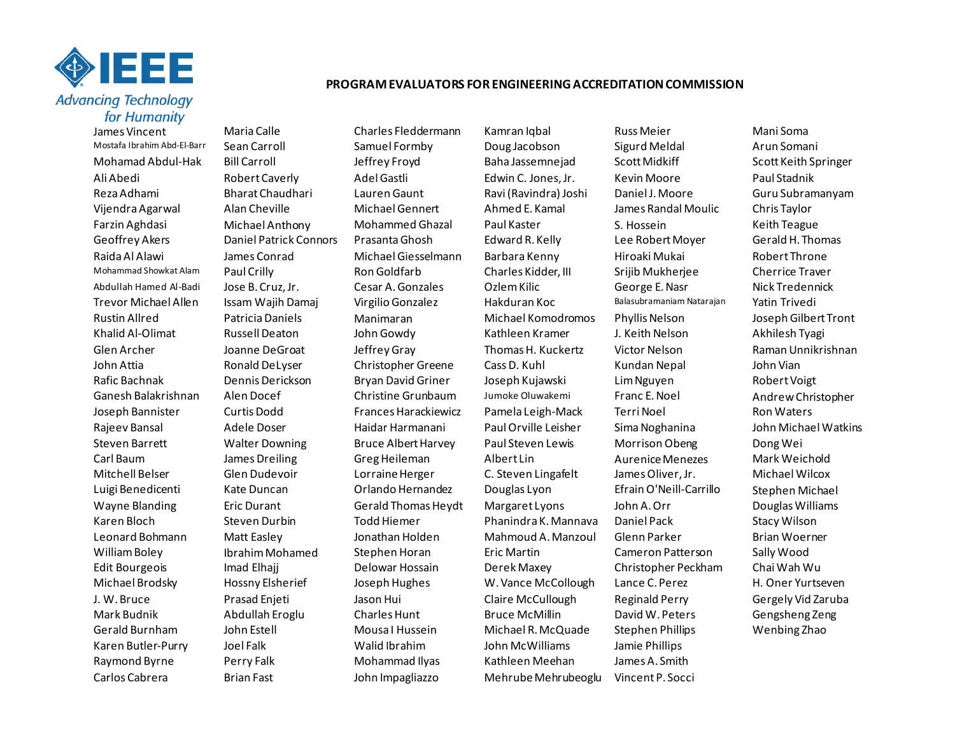

# for Humanity

James Vincent Maria Calle Charles Fleddermann Kamran Iqbal Russ Meier Mani Soma

Karen Butler-Purry Joel Falk Walid Ibrahim John McWilliams Jamie Phillips Raymond Byrne Perry Falk Mohammad Ilyas Kathleen Meehan James A. Smith Carlos Cabrera Brian Fast John Impagliazzo Mehrube Mehrubeoglu Vincent P. Socci

Mostafa Ibrahim Abd-El-Barr Sean Carroll Samuel Formby Doug Jacobson Sigurd Meldal Arun Somani Mohamad Abdul-Hak Bill Carroll **Garroll** Jeffrey Froyd Baha Jassemnejad Scott Midkiff Scott Keith Springer Ali Abedi Robert Caverly Adel Gastli Edwin C. Jones, Jr. Kevin Moore Paul Stadnik Reza Adhami Bharat Chaudhari Lauren Gaunt Ravi (Ravindra) Joshi Daniel J. Moore Guru Subramanyam Vijendra Agarwal Alan Cheville Michael Gennert Ahmed E. Kamal James Randal Moulic Chris Taylor Farzin Aghdasi Michael Anthony Mohammed Ghazal Paul Kaster S. Hossein Keith Teague Geoffrey Akers **Daniel Patrick Connors** Prasanta Ghosh Edward R. Kelly Lee Robert Moyer Gerald H. Thomas Raida Al Alawi James Conrad Michael Giesselmann Barbara Kenny Hiroaki Mukai Robert Throne Mohammad Showkat Alam Paul Crilly Ron Goldfarb Charles Kidder, III Srijib Mukherjee Cherrice Traver Abdullah Hamed Al-Badi Jose B. Cruz, Jr. Cesar A. Gonzales Ozlem Kilic George E. Nasr Nick Tredennick Trevor Michael Allen Issam Wajih Damaj Virgilio Gonzalez Hakduran Koc Balasubramaniam Natarajan Yatin Trivedi Rustin Allred Patricia Daniels Manimaran Michael Komodromos Phyllis Nelson Joseph Gilbert Tront Khalid Al-Olimat Russell Deaton John Gowdy Kathleen Kramer J. Keith Nelson Akhilesh Tyagi Glen Archer Joanne DeGroat Jeffrey Gray Thomas H. Kuckertz Victor Nelson Raman Unnikrishnan John Attia **Ronald DeLyser** Christopher Greene Cass D. Kuhl Kundan Nepal John Vian Rafic Bachnak Dennis Derickson Bryan David Griner Joseph Kujawski Lim Nguyen Robert Voigt Ganesh Balakrishnan Alen Docef Christine Grunbaum Jumoke Oluwakemi Franc E. Noel Andrew Christopher Joseph Bannister Curtis Dodd Frances Harackiewicz Pamela Leigh-Mack Terri Noel Ron Waters Rajeev Bansal Adele Doser Haidar Harmanani Paul Orville Leisher Sima Noghanina John Michael Watkins Steven Barrett Walter Downing Bruce Albert Harvey Paul Steven Lewis Morrison Obeng Dong Wei Carl Baum Mames Dreiling Greg Heileman Albert Lin Aurenice Menezes Mark Weichold Mitchell Belser Glen Dudevoir Lorraine Herger C. Steven Lingafelt James Oliver, Jr. Michael Wilcox Luigi Benedicenti Kate Duncan Orlando Hernandez Douglas Lyon Efrain O'Neill-Carrillo Stephen Michael Wayne Blanding eric Durant Gerald Thomas Heydt Margaret Lyons John A. Orr Douglas Williams Karen Bloch Steven Durbin Todd Hiemer Phanindra K. Mannava Daniel Pack Stacy Wilson Leonard Bohmann Matt Easley Jonathan Holden Mahmoud A. Manzoul Glenn Parker Brian Woerner William Boley **Ibrahim Mohamed** Stephen Horan Eric Martin Cameron Patterson Sally Wood Edit Bourgeois Imad Elhajj Delowar Hossain Derek Maxey Christopher Peckham Chai Wah Wu Michael Brodsky Hossny Elsherief Joseph Hughes W. Vance McCollough Lance C. Perez H. Oner Yurtseven J. W. Bruce Prasad Enjeti Jason Hui Claire McCullough Reginald Perry Gergely Vid Zaruba Mark Budnik Abdullah Eroglu Charles Hunt Bruce McMillin David W. Peters Gengsheng Zeng Gerald Burnham John Estell Mousa I Hussein Michael R. McQuade Stephen Phillips Wenbing Zhao

#### **PROGRAM EVALUATORS FOR ENGINEERING ACCREDITATION COMMISSION**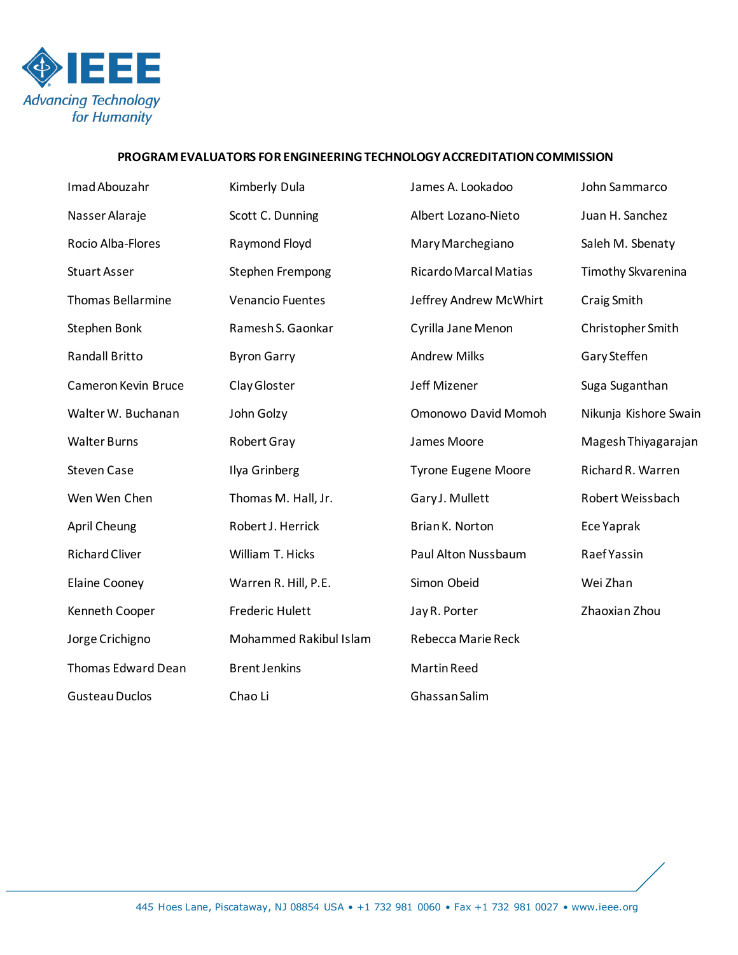

## **PROGRAM EVALUATORS FOR ENGINEERING TECHNOLOGY ACCREDITATION COMMISSION**

| Imad Abouzahr             | Kimberly Dula           | James A. Lookadoo            | John Sammarco         |
|---------------------------|-------------------------|------------------------------|-----------------------|
| Nasser Alaraje            | Scott C. Dunning        | Albert Lozano-Nieto          | Juan H. Sanchez       |
| Rocio Alba-Flores         | Raymond Floyd           | Mary Marchegiano             | Saleh M. Sbenaty      |
| <b>Stuart Asser</b>       | Stephen Frempong        | <b>Ricardo Marcal Matias</b> | Timothy Skvarenina    |
| <b>Thomas Bellarmine</b>  | <b>Venancio Fuentes</b> | Jeffrey Andrew McWhirt       | Craig Smith           |
| Stephen Bonk              | Ramesh S. Gaonkar       | Cyrilla Jane Menon           | Christopher Smith     |
| <b>Randall Britto</b>     | <b>Byron Garry</b>      | <b>Andrew Milks</b>          | Gary Steffen          |
| Cameron Kevin Bruce       | Clay Gloster            | Jeff Mizener                 | Suga Suganthan        |
| Walter W. Buchanan        | John Golzy              | Omonowo David Momoh          | Nikunja Kishore Swain |
| <b>Walter Burns</b>       | Robert Gray             | James Moore                  | Magesh Thiyagarajan   |
| <b>Steven Case</b>        | Ilya Grinberg           | <b>Tyrone Eugene Moore</b>   | Richard R. Warren     |
| Wen Wen Chen              | Thomas M. Hall, Jr.     | Gary J. Mullett              | Robert Weissbach      |
| <b>April Cheung</b>       | Robert J. Herrick       | Brian K. Norton              | Ece Yaprak            |
| <b>Richard Cliver</b>     | William T. Hicks        | Paul Alton Nussbaum          | <b>Raef Yassin</b>    |
| <b>Elaine Cooney</b>      | Warren R. Hill, P.E.    | Simon Obeid                  | Wei Zhan              |
| Kenneth Cooper            | <b>Frederic Hulett</b>  | Jay R. Porter                | Zhaoxian Zhou         |
| Jorge Crichigno           | Mohammed Rakibul Islam  | Rebecca Marie Reck           |                       |
| <b>Thomas Edward Dean</b> | <b>Brent Jenkins</b>    | Martin Reed                  |                       |
| <b>Gusteau Duclos</b>     | Chao Li                 | Ghassan Salim                |                       |
|                           |                         |                              |                       |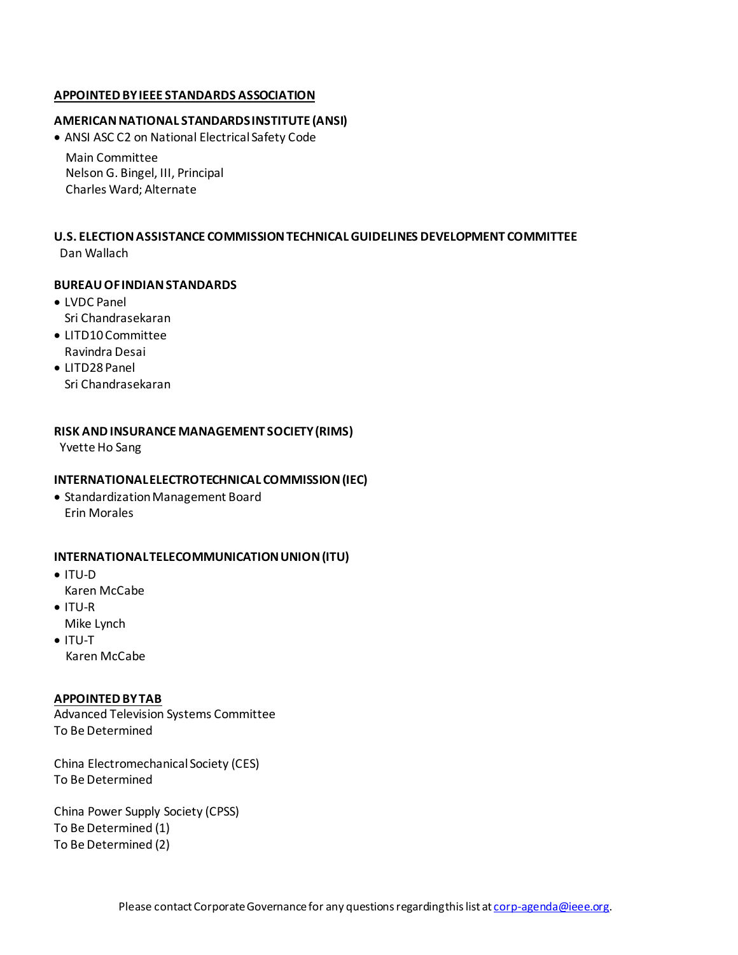#### **APPOINTED BY IEEE STANDARDS ASSOCIATION**

#### **AMERICAN NATIONAL STANDARDS INSTITUTE (ANSI)**

• ANSI ASC C2 on National Electrical Safety Code

Main Committee Nelson G. Bingel, III, Principal Charles Ward; Alternate

#### **U.S. ELECTION ASSISTANCE COMMISSION TECHNICAL GUIDELINES DEVELOPMENT COMMITTEE** Dan Wallach

#### **BUREAU OF INDIAN STANDARDS**

- LVDC Panel Sri Chandrasekaran
- LITD10 Committee Ravindra Desai
- LITD28 Panel Sri Chandrasekaran

#### **RISK AND INSURANCE MANAGEMENT SOCIETY (RIMS)**

Yvette Ho Sang

#### **INTERNATIONAL ELECTROTECHNICAL COMMISSION (IEC)**

• Standardization Management Board Erin Morales

#### **INTERNATIONAL TELECOMMUNICATION UNION (ITU)**

- ITU-D Karen McCabe
- ITU-R Mike Lynch
- ITU-T Karen McCabe

#### **APPOINTED BY TAB**

Advanced Television Systems Committee To Be Determined

China Electromechanical Society (CES) To Be Determined

China Power Supply Society (CPSS) To Be Determined (1) To Be Determined (2)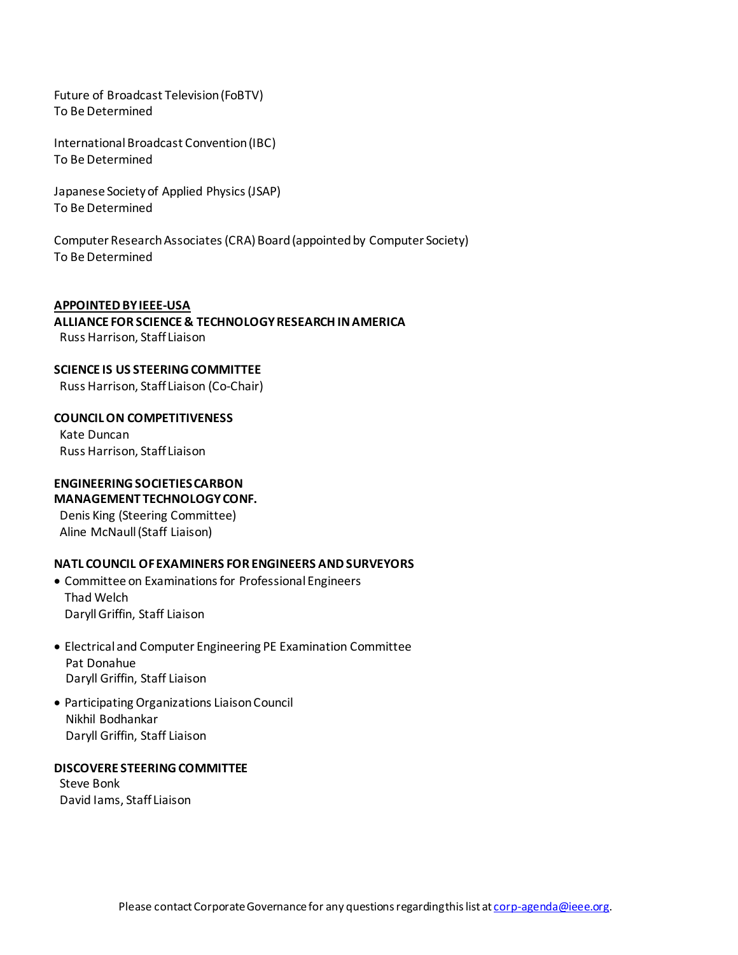Future of Broadcast Television (FoBTV) To Be Determined

International Broadcast Convention (IBC) To Be Determined

Japanese Society of Applied Physics (JSAP) To Be Determined

Computer Research Associates (CRA) Board (appointed by Computer Society) To Be Determined

#### **APPOINTED BY IEEE-USA**

**ALLIANCE FOR SCIENCE & TECHNOLOGY RESEARCH IN AMERICA** Russ Harrison, Staff Liaison

**SCIENCE IS US STEERING COMMITTEE** 

Russ Harrison, Staff Liaison (Co-Chair)

**COUNCIL ON COMPETITIVENESS** Kate Duncan Russ Harrison, Staff Liaison

# **ENGINEERING SOCIETIES CARBON MANAGEMENT TECHNOLOGY CONF.**

 Denis King (Steering Committee) Aline McNaull (Staff Liaison)

#### **NATL COUNCIL OF EXAMINERS FOR ENGINEERS AND SURVEYORS**

- Committee on Examinations for Professional Engineers Thad Welch Daryll Griffin, Staff Liaison
- Electrical and Computer Engineering PE Examination Committee Pat Donahue Daryll Griffin, Staff Liaison
- Participating Organizations Liaison Council Nikhil Bodhankar Daryll Griffin, Staff Liaison

#### **DISCOVERE STEERING COMMITTEE**

 Steve Bonk David Iams, Staff Liaison